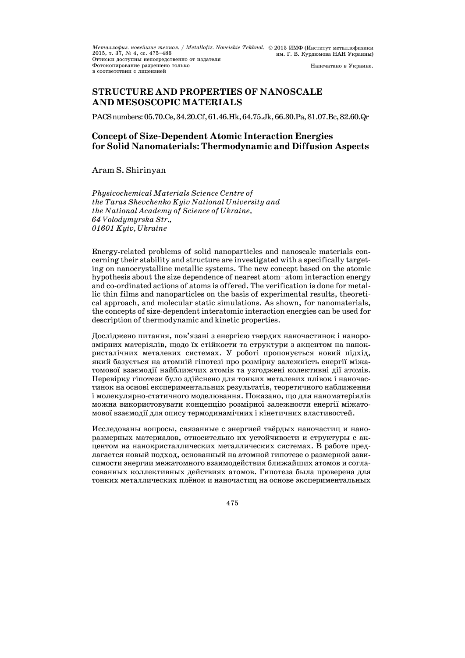*Металлофиз. новейшие технол. / Metallofiz. Noveishie Tekhnol.*  2015, т. 37, № 4, сс. 475—486 2015 ИМФ (Институт металлофизики им. Г. В. Курдюмова НАН Украины) Оттиски доступны непосредственно от издателя Фотокопирование разрешено только в соответствии с лицензией Напечатано в Украине.

# **STRUCTURE AND PROPERTIES OF NANOSCALE AND MESOSCOPIC MATERIALS**

PACSnumbers:05.70.Ce,34.20.Cf,61.46.Hk,64.75.Jk,66.30.Pa,81.07.Bc,82.60.Qr

## **Concept of Size-Dependent Atomic Interaction Energies for Solid Nanomaterials: Thermodynamic and Diffusion Aspects**

## Aram S. Shirinyan

*Physicochemical Materials Science Centre of the Taras Shevchenko Kyiv National University and the National Academy of Science of Ukraine, 64 Volodymyrska Str., 01601 Kyiv, Ukraine* 

Energy-related problems of solid nanoparticles and nanoscale materials concerning their stability and structure are investigated with a specifically targeting on nanocrystalline metallic systems. The new concept based on the atomic hypothesis about the size dependence of nearest atom—atom interaction energy and co-ordinated actions of atoms is offered. The verification is done for metallic thin films and nanoparticles on the basis of experimental results, theoretical approach, and molecular static simulations. As shown, for nanomaterials, the concepts of size-dependent interatomic interaction energies can be used for description of thermodynamic and kinetic properties.

Досліджено питання, пов'язані з енергією твердих наночастинок і нанорозмірних матеріялів, щодо їх стійкости та структури з акцентом на нанокристалічних металевих системах. У роботі пропонується новий підхід, який базується на атомній гіпотезі про розмірну залежність енергії міжатомової взаємодії найближчих атомів та узгоджені колективні дії атомів. Перевірку гіпотези було здійснено для тонких металевих плівок і наночастинок на основі експериментальних результатів, теоретичного наближення і молекулярно-статичного моделювання. Показано, що для наноматеріялів можна використовувати концепцію розмірної залежности енергії міжатомової взаємодії для опису термодинамічних і кінетичних властивостей.

Исследованы вопросы, связанные с энергией твёрдых наночастиц и наноразмерных материалов, относительно их устойчивости и структуры с акцентом на нанокристаллических металлических системах. В работе предлагается новый подход, основанный на атомной гипотезе о размерной зависимости энергии межатомного взаимодействия ближайших атомов и согласованных коллективных действиях атомов. Гипотеза была проверена для тонких металлических плёнок и наночастиц на основе экспериментальных

475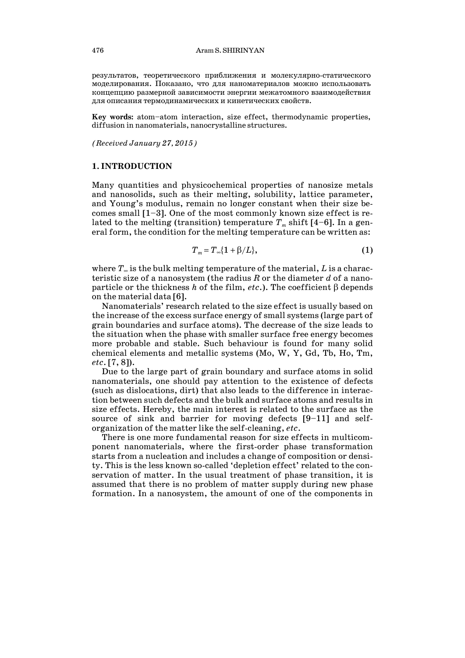результатов, теоретического приближения и молекулярно-статического моделирования. Показано, что для наноматериалов можно использовать концепцию размерной зависимости энергии межатомного взаимодействия для описания термодинамических и кинетических свойств.

**Key words:** atom—atom interaction, size effect, thermodynamic properties, diffusion in nanomaterials, nanocrystalline structures.

*(Received January 27, 2015)*

#### **1. INTRODUCTION**

Many quantities and physicochemical properties of nanosize metals and nanosolids, such as their melting, solubility, lattice parameter, and Young's modulus, remain no longer constant when their size becomes small [1—3]. One of the most commonly known size effect is related to the melting (transition) temperature  $T_m$  shift [4–6]. In a general form, the condition for the melting temperature can be written as:

$$
T_m = T_\infty \{1 + \beta/L\},\tag{1}
$$

where  $T_{\infty}$  is the bulk melting temperature of the material,  $L$  is a characteristic size of a nanosystem (the radius *R* or the diameter *d* of a nanoparticle or the thickness *h* of the film, *etc*.). The coefficient  $\beta$  depends on the material data [6].

 Nanomaterials' research related to the size effect is usually based on the increase of the excess surface energy of small systems (large part of grain boundaries and surface atoms). The decrease of the size leads to the situation when the phase with smaller surface free energy becomes more probable and stable. Such behaviour is found for many solid chemical elements and metallic systems (Мо, W, Y, Gd, Tb, Ho, Tm, *etc*. [7, 8]).

 Due to the large part of grain boundary and surface atoms in solid nanomaterials, one should pay attention to the existence of defects (such as dislocations, dirt) that also leads to the difference in interaction between such defects and the bulk and surface atoms and results in size effects. Hereby, the main interest is related to the surface as the source of sink and barrier for moving defects [9—11] and selforganization of the matter like the self-cleaning, *etc*.

 There is one more fundamental reason for size effects in multicomponent nanomaterials, where the first-order phase transformation starts from a nucleation and includes a change of composition or density. This is the less known so-called 'depletion effect' related to the conservation of matter. In the usual treatment of phase transition, it is assumed that there is no problem of matter supply during new phase formation. In a nanosystem, the amount of one of the components in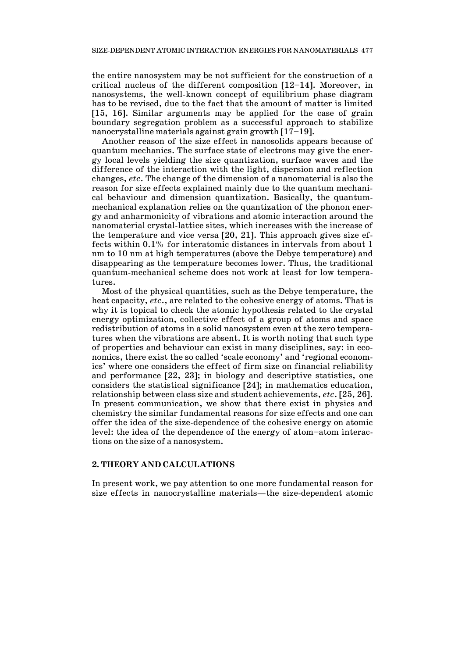the entire nanosystem may be not sufficient for the construction of a critical nucleus of the different composition [12—14]. Moreover, in nanosystems, the well-known concept of equilibrium phase diagram has to be revised, due to the fact that the amount of matter is limited [15, 16]. Similar arguments may be applied for the case of grain boundary segregation problem as a successful approach to stabilize nanocrystalline materials against grain growth [17—19].

 Another reason of the size effect in nanosolids appears because of quantum mechanics. The surface state of electrons may give the energy local levels yielding the size quantization, surface waves and the difference of the interaction with the light, dispersion and reflection changes, *etc*. The change of the dimension of a nanomaterial is also the reason for size effects explained mainly due to the quantum mechanical behaviour and dimension quantization. Basically, the quantummechanical explanation relies on the quantization of the phonon energy and anharmonicity of vibrations and atomic interaction around the nanomaterial crystal-lattice sites, which increases with the increase of the temperature and vice versa [20, 21]. This approach gives size effects within 0.1% for interatomic distances in intervals from about 1 nm to 10 nm at high temperatures (above the Debye temperature) and disappearing as the temperature becomes lower. Thus, the traditional quantum-mechanical scheme does not work at least for low temperatures.

 Most of the physical quantities, such as the Debye temperature, the heat capacity, *etc*., are related to the cohesive energy of atoms. That is why it is topical to check the atomic hypothesis related to the crystal energy optimization, collective effect of a group of atoms and space redistribution of atoms in a solid nanosystem even at the zero temperatures when the vibrations are absent. It is worth noting that such type of properties and behaviour can exist in many disciplines, say: in economics, there exist the so called 'scale economy' and 'regional economics' where one considers the effect of firm size on financial reliability and performance [22, 23]; in biology and descriptive statistics, one considers the statistical significance [24]; in mathematics education, relationship between class size and student achievements, *etc*. [25, 26]. In present communication, we show that there exist in physics and chemistry the similar fundamental reasons for size effects and one can offer the idea of the size-dependence of the cohesive energy on atomic level: the idea of the dependence of the energy of atom—atom interactions on the size of a nanosystem.

## **2. THEORY AND CALCULATIONS**

In present work, we pay attention to one more fundamental reason for size effects in nanocrystalline materials–the size-dependent atomic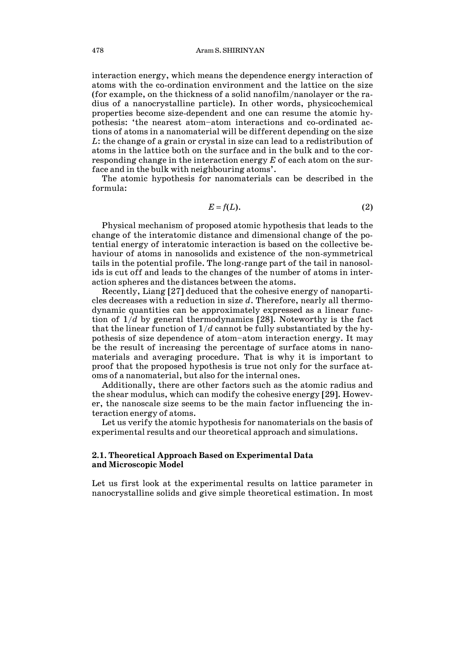interaction energy, which means the dependence energy interaction of atoms with the co-ordination environment and the lattice on the size (for example, on the thickness of a solid nanofilm/nanolayer or the radius of a nanocrystalline particle). In other words, physicochemical properties become size-dependent and one can resume the atomic hypothesis: 'the nearest atom—atom interactions and co-ordinated actions of atoms in a nanomaterial will be different depending on the size *L*: the change of a grain or crystal in size can lead to a redistribution of atoms in the lattice both on the surface and in the bulk and to the corresponding change in the interaction energy *E* of each atom on the surface and in the bulk with neighbouring atoms'.

 The atomic hypothesis for nanomaterials can be described in the formula:

$$
E=f(L). \tag{2}
$$

 Physical mechanism of proposed atomic hypothesis that leads to the change of the interatomic distance and dimensional change of the potential energy of interatomic interaction is based on the collective behaviour of atoms in nanosolids and existence of the non-symmetrical tails in the potential profile. The long-range part of the tail in nanosolids is cut off and leads to the changes of the number of atoms in interaction spheres and the distances between the atoms.

 Recently, Liang [27] deduced that the cohesive energy of nanoparticles decreases with a reduction in size *d*. Therefore, nearly all thermodynamic quantities can be approximately expressed as a linear function of 1/*d* by general thermodynamics [28]. Noteworthy is the fact that the linear function of 1/*d* cannot be fully substantiated by the hypothesis of size dependence of atom—atom interaction energy. It may be the result of increasing the percentage of surface atoms in nanomaterials and averaging procedure. That is why it is important to proof that the proposed hypothesis is true not only for the surface atoms of a nanomaterial, but also for the internal ones.

 Additionally, there are other factors such as the atomic radius and the shear modulus, which can modify the cohesive energy [29]. However, the nanoscale size seems to be the main factor influencing the interaction energy of atoms.

 Let us verify the atomic hypothesis for nanomaterials on the basis of experimental results and our theoretical approach and simulations.

## **2.1. Theoretical Approach Based on Experimental Data and Microscopic Model**

Let us first look at the experimental results on lattice parameter in nanocrystalline solids and give simple theoretical estimation. In most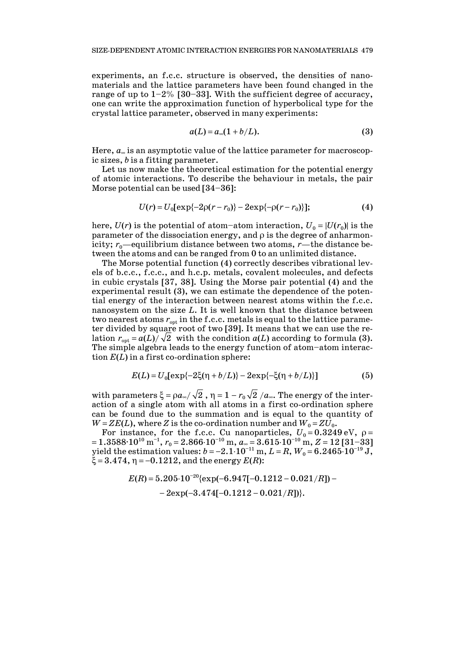experiments, an f.c.c. structure is observed, the densities of nanomaterials and the lattice parameters have been found changed in the range of up to  $1-2\%$  [30-33]. With the sufficient degree of accuracy, one can write the approximation function of hyperbolical type for the crystal lattice parameter, observed in many experiments:

$$
a(L) = a_{\infty}(1 + b/L). \tag{3}
$$

Here,  $a_{\infty}$  is an asymptotic value of the lattice parameter for macroscopic sizes, *b* is a fitting parameter.

 Let us now make the theoretical estimation for the potential energy of atomic interactions. To describe the behaviour in metals, the pair Morse potential can be used [34—36]:

$$
U(r) = U_0[\exp\{-2\rho(r - r_0)\} - 2\exp\{-\rho(r - r_0)\}];
$$
 (4)

here,  $U(r)$  is the potential of atom-atom interaction,  $U_0 = |U(r_0)|$  is the parameter of the dissociation energy, and  $\rho$  is the degree of anharmonicity;  $r_0$ —equilibrium distance between two atoms,  $r$ —the distance between the atoms and can be ranged from 0 to an unlimited distance.

 The Morse potential function (4) correctly describes vibrational levels of b.c.c., f.c.c., and h.c.p. metals, covalent molecules, and defects in cubic crystals [37, 38]. Using the Morse pair potential (4) and the experimental result (3), we can estimate the dependence of the potential energy of the interaction between nearest atoms within the f.c.c. nanosystem on the size *L*. It is well known that the distance between two nearest atoms  $r_{opt}$  in the f.c.c. metals is equal to the lattice parameter divided by square root of two [39]. It means that we can use the relation  $r_{\text{\tiny{opt}}}$  =  $a(L)/\sqrt{2}~$  with the condition  $a(L)$  according to formula (3). The simple algebra leads to the energy function of atom—atom interaction *E*(*L*) in a first co-ordination sphere:

$$
E(L) = U_0[\exp\{-2\xi(\eta + b/L)\} - 2\exp\{-\xi(\eta + b/L)\}] \tag{5}
$$

with parameters  $\xi = \rho a_{\infty}/\sqrt{2}$ ,  $\eta = 1 - r_0 \sqrt{2}/a_{\infty}$ . The energy of the interaction of a single atom with all atoms in a first co-ordination sphere can be found due to the summation and is equal to the quantity of  $W = ZE(L)$ , where *Z* is the co-ordination number and  $W_0 = ZU_0$ .

For instance, for the f.c.c. Cu nanoparticles,  $U_0 = 0.3249 \text{ eV}$ ,  $\rho =$  $1.3588\cdot10^{10}$  m $^{-1}$ ,  $r_{0}$  =  $2.866\cdot10^{-10}$  m,  $a_{\infty}$  =  $3.615\cdot10^{-10}$  m,  $Z$  =  $12$  [31–33]  ${\rm yield~the~estimation~values: }~b\! -\! 2.1\!\cdot\! 10^{-11} \,{\rm m}, L\! =\! R, W_0\! =\! 6.2465\!\cdot\! 10^{-19}\,{\rm J},$  $\xi = 3.474$ ,  $\eta = -0.1212$ , and the energy  $E(R)$ :

$$
E(R) = 5.205 \cdot 10^{-20} \{ \exp(-6.947[-0.1212 - 0.021/R]) - 2 \exp(-3.474[-0.1212 - 0.021/R]) \}.
$$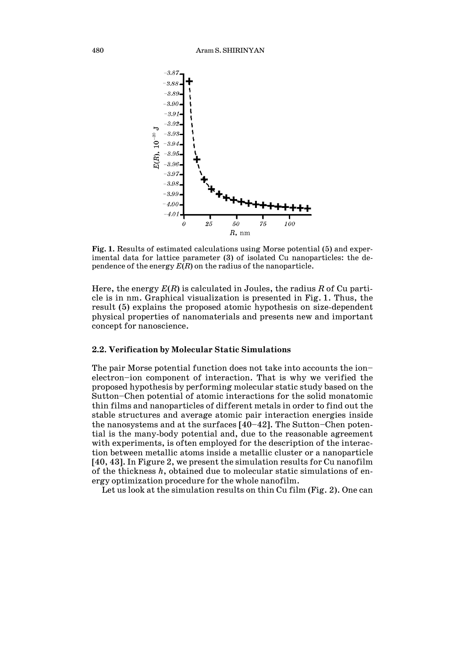

**Fig. 1.** Results of estimated calculations using Morse potential (5) and experimental data for lattice parameter (3) of isolated Cu nanoparticles: the dependence of the energy *E*(*R*) on the radius of the nanoparticle.

Here, the energy *E*(*R*) is calculated in Joules, the radius *R* of Cu particle is in nm. Graphical visualization is presented in Fig. 1. Thus, the result (5) explains the proposed atomic hypothesis on size-dependent physical properties of nanomaterials and presents new and important concept for nanoscience.

#### **2.2. Verification by Molecular Static Simulations**

The pair Morse potential function does not take into accounts the ion electron—ion component of interaction. That is why we verified the proposed hypothesis by performing molecular static study based on the Sutton—Chen potential of atomic interactions for the solid monatomic thin films and nanoparticles of different metals in order to find out the stable structures and average atomic pair interaction energies inside the nanosystems and at the surfaces  $[40-42]$ . The Sutton-Chen potential is the many-body potential and, due to the reasonable agreement with experiments, is often employed for the description of the interaction between metallic atoms inside a metallic cluster or a nanoparticle [40, 43]. In Figure 2, we present the simulation results for Cu nanofilm of the thickness *h*, obtained due to molecular static simulations of energy optimization procedure for the whole nanofilm.

Let us look at the simulation results on thin Cu film (Fig. 2). One can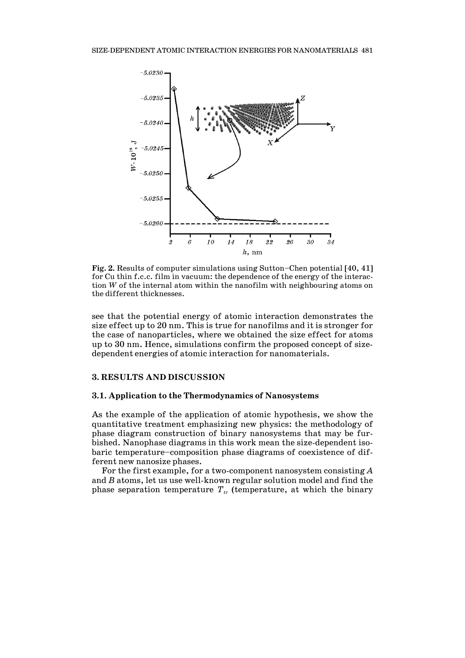

**Fig. 2.** Results of computer simulations using Sutton—Chen potential [40, 41] for Cu thin f.c.c. film in vacuum: the dependence of the energy of the interaction *W* of the internal atom within the nanofilm with neighbouring atoms on the different thicknesses.

see that the potential energy of atomic interaction demonstrates the size effect up to 20 nm. This is true for nanofilms and it is stronger for the case of nanoparticles, where we obtained the size effect for atoms up to 30 nm. Hence, simulations confirm the proposed concept of sizedependent energies of atomic interaction for nanomaterials.

#### **3. RESULTS AND DISCUSSION**

## **3.1. Application to the Thermodynamics of Nanosystems**

As the example of the application of atomic hypothesis, we show the quantitative treatment emphasizing new physics: the methodology of phase diagram construction of binary nanosystems that may be furbished. Nanophase diagrams in this work mean the size-dependent isobaric temperature—composition phase diagrams of coexistence of different new nanosize phases.

 For the first example, for a two-component nanosystem consisting *A* and *B* atoms, let us use well-known regular solution model and find the phase separation temperature  $T_{tr}$  (temperature, at which the binary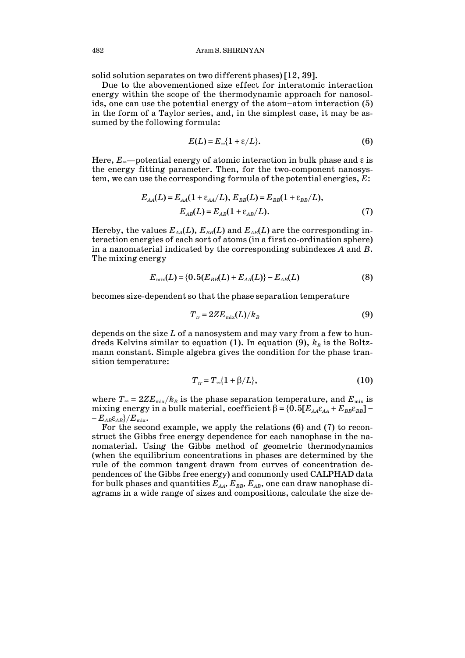solid solution separates on two different phases) [12, 39].

 Due to the abovementioned size effect for interatomic interaction energy within the scope of the thermodynamic approach for nanosolids, one can use the potential energy of the atom—atom interaction (5) in the form of a Taylor series, and, in the simplest case, it may be assumed by the following formula:

$$
E(L) = E_{\infty} \{1 + \varepsilon / L\}.
$$
 (6)

Here,  $E_{\infty}$ —potential energy of atomic interaction in bulk phase and  $\varepsilon$  is the energy fitting parameter. Then, for the two-component nanosystem, we can use the corresponding formula of the potential energies, *E*:

$$
E_{AA}(L) = E_{AA}(1 + \varepsilon_{AA}/L), E_{BB}(L) = E_{BB}(1 + \varepsilon_{BB}/L),
$$
  
\n
$$
E_{AB}(L) = E_{AB}(1 + \varepsilon_{AB}/L).
$$
 (7)

Hereby, the values  $E_{AA}(L)$ ,  $E_{BB}(L)$  and  $E_{AB}(L)$  are the corresponding interaction energies of each sort of atoms (in a first co-ordination sphere) in a nanomaterial indicated by the corresponding subindexes *A* and *B*. The mixing energy

$$
E_{\text{mix}}(L) = \{0.5(E_{BB}(L) + E_{AA}(L)\} - E_{AB}(L) \tag{8}
$$

becomes size-dependent so that the phase separation temperature

$$
T_{tr} = 2ZE_{\text{mix}}(L)/k_B \tag{9}
$$

depends on the size *L* of a nanosystem and may vary from a few to hundreds Kelvins similar to equation (1). In equation (9),  $k_B$  is the Boltzmann constant. Simple algebra gives the condition for the phase transition temperature:

$$
T_{tr} = T_{\infty} \{1 + \beta/L\},\tag{10}
$$

where  $T_{\infty} = 2ZE_{\text{mix}}/k_B$  is the phase separation temperature, and  $E_{\text{mix}}$  is mixing energy in a bulk material, coefficient  $\beta = \{0.5[E_{AA}\varepsilon_{AA} + E_{BB}\varepsilon_{BB}] -E_{AB} \epsilon_{AB} \} / E_{\rm mix}.$ 

 For the second example, we apply the relations (6) and (7) to reconstruct the Gibbs free energy dependence for each nanophase in the nanomaterial. Using the Gibbs method of geometric thermodynamics (when the equilibrium concentrations in phases are determined by the rule of the common tangent drawn from curves of concentration dependences of the Gibbs free energy) and commonly used CALPHAD data for bulk phases and quantities  $E_{AA}$ ,  $E_{BB}$ ,  $E_{AB}$ , one can draw nanophase diagrams in a wide range of sizes and compositions, calculate the size de-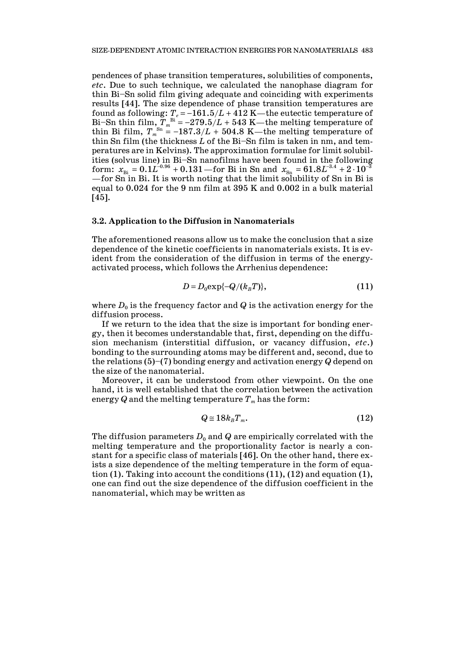pendences of phase transition temperatures, solubilities of components, *etc*. Due to such technique, we calculated the nanophase diagram for thin Bi—Sn solid film giving adequate and coinciding with experiments results [44]. The size dependence of phase transition temperatures are found as following:  $T_e = -161.5/L + 412$  K—the eutectic temperature of Bi-Sn thin film,  $T_{m}^{\text{Bi}} = -279.5/L + 543 \text{ K}$ -the melting temperature of thin Bi film,  $T_m^{\text{Sn}} = -187.3/L + 504.8$  K—the melting temperature of thin Sn film (the thickness *L* of the Bi—Sn film is taken in nm, and temperatures are in Kelvins). The approximation formulae for limit solubilities (solvus line) in Bi—Sn nanofilms have been found in the following  ${\rm form}\colon\, x_{\rm Bi}=0.1 L^{-0.96}+0.131$ —for Bi in Sn and  $\, x_{\rm Sn} = 61.8 L^{3.4}+2\cdot 10^{-3}$ –for Sn in Bi. It is worth noting that the limit solubility of Sn in Bi is equal to 0.024 for the 9 nm film at 395 K and 0.002 in a bulk material [45].

## **3.2. Application to the Diffusion in Nanomaterials**

The aforementioned reasons allow us to make the conclusion that a size dependence of the kinetic coefficients in nanomaterials exists. It is evident from the consideration of the diffusion in terms of the energyactivated process, which follows the Arrhenius dependence:

$$
D=D_0\exp\{-Q/(k_BT)\},\qquad \qquad (11)
$$

where  $D_0$  is the frequency factor and  $Q$  is the activation energy for the diffusion process.

 If we return to the idea that the size is important for bonding energy, then it becomes understandable that, first, depending on the diffusion mechanism (interstitial diffusion, or vacancy diffusion, *etc*.) bonding to the surrounding atoms may be different and, second, due to the relations (5)—(7) bonding energy and activation energy *Q* depend on the size of the nanomaterial.

 Moreover, it can be understood from other viewpoint. On the one hand, it is well established that the correlation between the activation energy  $Q$  and the melting temperature  $T_m$  has the form:

$$
Q \cong 18k_B T_m. \tag{12}
$$

The diffusion parameters  $D_0$  and  $Q$  are empirically correlated with the melting temperature and the proportionality factor is nearly a constant for a specific class of materials [46]. On the other hand, there exists a size dependence of the melting temperature in the form of equation (1). Taking into account the conditions (11), (12) and equation (1), one can find out the size dependence of the diffusion coefficient in the nanomaterial, which may be written as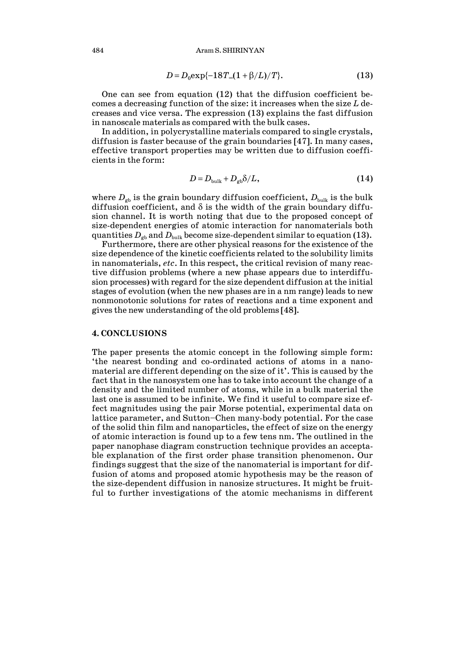484 Aram S. SHIRINYAN

$$
D = D_0 \exp\{-18T_{\infty}(1 + \beta/L)/T\}.
$$
 (13)

 One can see from equation (12) that the diffusion coefficient becomes a decreasing function of the size: it increases when the size *L* decreases and vice versa. The expression (13) explains the fast diffusion in nanoscale materials as compared with the bulk cases.

 In addition, in polycrystalline materials compared to single crystals, diffusion is faster because of the grain boundaries [47]. In many cases, effective transport properties may be written due to diffusion coefficients in the form:

$$
D = D_{\text{bulk}} + D_{\text{gb}} \delta / L, \qquad (14)
$$

where  $D_{gb}$  is the grain boundary diffusion coefficient,  $D_{bulk}$  is the bulk diffusion coefficient, and  $\delta$  is the width of the grain boundary diffusion channel. It is worth noting that due to the proposed concept of size-dependent energies of atomic interaction for nanomaterials both quantities  $D_{\text{gb}}$  and  $D_{\text{bulk}}$  become size-dependent similar to equation (13).

 Furthermore, there are other physical reasons for the existence of the size dependence of the kinetic coefficients related to the solubility limits in nanomaterials, *etc*. In this respect, the critical revision of many reactive diffusion problems (where a new phase appears due to interdiffusion processes) with regard for the size dependent diffusion at the initial stages of evolution (when the new phases are in a nm range) leads to new nonmonotonic solutions for rates of reactions and a time exponent and gives the new understanding of the old problems [48].

#### **4. CONCLUSIONS**

The paper presents the atomic concept in the following simple form: 'the nearest bonding and co-ordinated actions of atoms in a nanomaterial are different depending on the size of it'. This is caused by the fact that in the nanosystem one has to take into account the change of a density and the limited number of atoms, while in a bulk material the last one is assumed to be infinite. We find it useful to compare size effect magnitudes using the pair Morse potential, experimental data on lattice parameter, and Sutton—Chen many-body potential. For the case of the solid thin film and nanoparticles, the effect of size on the energy of atomic interaction is found up to a few tens nm. The outlined in the paper nanophase diagram construction technique provides an acceptable explanation of the first order phase transition phenomenon. Our findings suggest that the size of the nanomaterial is important for diffusion of atoms and proposed atomic hypothesis may be the reason of the size-dependent diffusion in nanosize structures. It might be fruitful to further investigations of the atomic mechanisms in different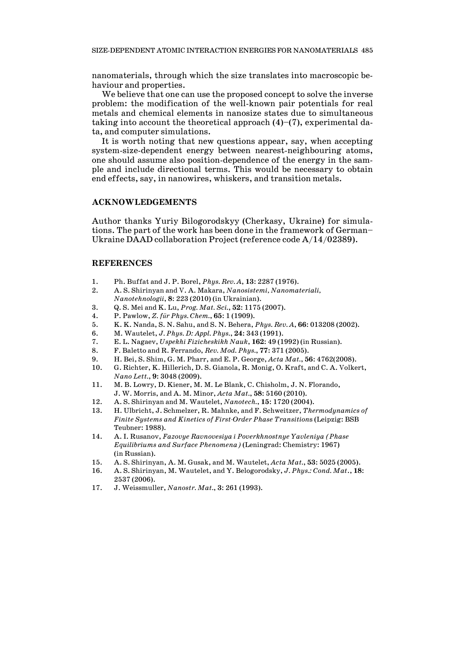nanomaterials, through which the size translates into macroscopic behaviour and properties.

 We believe that one can use the proposed concept to solve the inverse problem: the modification of the well-known pair potentials for real metals and chemical elements in nanosize states due to simultaneous taking into account the theoretical approach  $(4)$ – $(7)$ , experimental data, and computer simulations.

 It is worth noting that new questions appear, say, when accepting system-size-dependent energy between nearest-neighbouring atoms, one should assume also position-dependence of the energy in the sample and include directional terms. This would be necessary to obtain end effects, say, in nanowires, whiskers, and transition metals.

## **ACKNOWLEDGEMENTS**

Author thanks Yuriy Bilogorodskyy (Cherkasy, Ukraine) for simulations. The part of the work has been done in the framework of German— Ukraine DAAD collaboration Project (reference code A/14/02389).

#### **REFERENCES**

- 1. Ph. Buffat and J. P. Borel, *Phys. Rev. A*, **13**: 2287 (1976).
- 2. A. S. Shirinyan and V. A. Makara, *Nanosistemi, Nanomateriali, Nanotehnologii*, **8**: 223 (2010) (in Ukrainian).
- 3. Q. S. Mei and K. Lu, *Prog. Mat. Sci.*, **52**: 1175 (2007).
- 4. P. Pawlow, *Z. für Phys. Chem.*, **65**: 1 (1909).
- 5. K. K. Nanda, S. N. Sahu, and S. N. Behera, *Phys. Rev. A*, **66**: 013208 (2002).
- 6. M. Wautelet, *J. Phys. D: Appl. Phys.*, **24**: 343 (1991).
- 7. E. L. Nagaev, *Uspekhi Fizicheskikh Nauk*, **162**: 49 (1992) (in Russian).
- 8. F. Baletto and R. Ferrando, *Rev. Mod. Phys.*, **77**: 371 (2005).
- 9. H. Bei, S. Shim, G. M. Pharr, and E. P. George, *Acta Mat.*, **56**: 4762(2008).
- 10. G. Richter, K. Hillerich, D. S. Gianola, R. Monig, O. Kraft, and C. A. Volkert, *Nano Lett.*, **9**: 3048 (2009).
- 11. M. B. Lowry, D. Kiener, M. M. Le Blank, C. Chisholm, J. N. Florando, J. W. Morris, and A. M. Minor, *Acta Mat.*, **58**: 5160 (2010).
- 12. A. S. Shirinyan and M. Wautelet, *Nanotech.*, **15**: 1720 (2004).
- 13. H. Ulbricht, J. Schmelzer, R. Mahnke, and F. Schweitzer, *Thermodynamics of Finite Systems and Kinetics of First-Order Phase Transition*s (Leipzig: BSB Teubner: 1988).
- 14. A. I. Rusanov, *Fazovye Ravnovesiya i Poverkhnostnye Yavleniya (Phase Equilibriums and Surface Phenomena)* (Leningrad: Chemistry: 1967) (in Russian).
- 15. A. S. Shirinyan, A. M. Gusak, and M. Wautelet, *Acta Mat.*, **53**: 5025 (2005).
- 16. A. S. Shirinyan, M. Wautelet, and Y. Belogorodsky, *J. Phys.: Cond. Mat*., **18**: 2537 (2006).
- 17. J. Weissmuller, *Nanostr. Mat.*, **3**: 261 (1993).